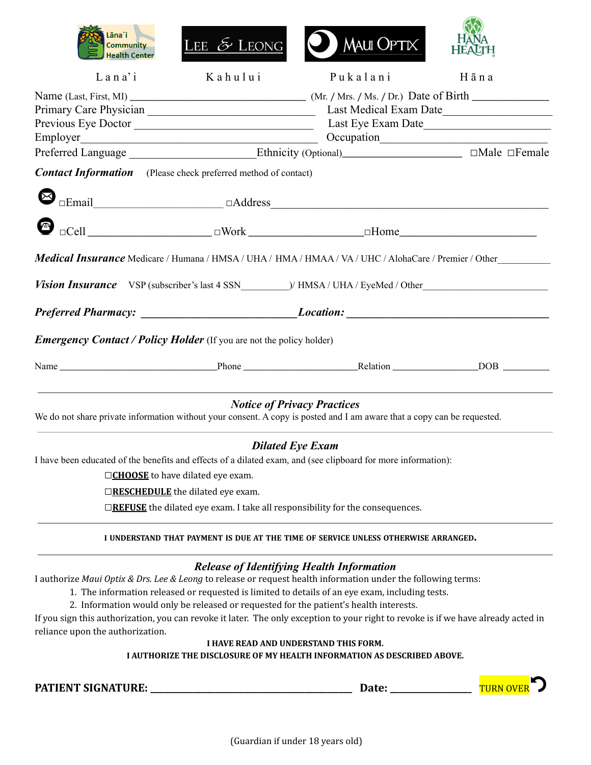| Lāna`i<br><b>Community</b>                                                                                                         | LEE $\mathcal{E}$ LEONG                                                                                              | <b>MAUI OPTIX</b>                                                                          |                        |  |
|------------------------------------------------------------------------------------------------------------------------------------|----------------------------------------------------------------------------------------------------------------------|--------------------------------------------------------------------------------------------|------------------------|--|
| <b>Health Center</b>                                                                                                               |                                                                                                                      |                                                                                            | <b>HEALTH</b>          |  |
| $L$ a n a' i                                                                                                                       | Kahului                                                                                                              | Pukalani                                                                                   | Hāna                   |  |
|                                                                                                                                    |                                                                                                                      |                                                                                            |                        |  |
|                                                                                                                                    |                                                                                                                      |                                                                                            | Last Medical Exam Date |  |
|                                                                                                                                    |                                                                                                                      |                                                                                            |                        |  |
| Employer                                                                                                                           | <u> 2000 - 2000 - 2000 - 2000 - 2000 - 2000 - 2000 - 2000 - 2000 - 2000 - 2000 - 2000 - 2000 - 2000 - 2000 - 200</u> |                                                                                            |                        |  |
| Preferred Language ___________________Ethnicity (Optional)_____________________ □Male □Female                                      |                                                                                                                      |                                                                                            |                        |  |
| <b>Contact Information</b> (Please check preferred method of contact)                                                              |                                                                                                                      |                                                                                            |                        |  |
| ⊠                                                                                                                                  |                                                                                                                      |                                                                                            |                        |  |
|                                                                                                                                    |                                                                                                                      |                                                                                            |                        |  |
| Medical Insurance Medicare / Humana / HMSA / UHA / HMA / HMAA / VA / UHC / AlohaCare / Premier / Other                             |                                                                                                                      |                                                                                            |                        |  |
|                                                                                                                                    |                                                                                                                      |                                                                                            |                        |  |
|                                                                                                                                    |                                                                                                                      |                                                                                            |                        |  |
| <b>Emergency Contact / Policy Holder</b> (If you are not the policy holder)                                                        |                                                                                                                      |                                                                                            |                        |  |
|                                                                                                                                    |                                                                                                                      |                                                                                            |                        |  |
| We do not share private information without your consent. A copy is posted and I am aware that a copy can be requested.            |                                                                                                                      | <b>Notice of Privacy Practices</b>                                                         |                        |  |
|                                                                                                                                    |                                                                                                                      |                                                                                            |                        |  |
|                                                                                                                                    |                                                                                                                      | <b>Dilated Eye Exam</b>                                                                    |                        |  |
| I have been educated of the benefits and effects of a dilated exam, and (see clipboard for more information):                      |                                                                                                                      |                                                                                            |                        |  |
|                                                                                                                                    | □ CHOOSE to have dilated eye exam.                                                                                   |                                                                                            |                        |  |
|                                                                                                                                    | □RESCHEDULE the dilated eye exam.                                                                                    |                                                                                            |                        |  |
|                                                                                                                                    |                                                                                                                      | $\Box$ <b>REFUSE</b> the dilated eye exam. I take all responsibility for the consequences. |                        |  |
|                                                                                                                                    |                                                                                                                      | I UNDERSTAND THAT PAYMENT IS DUE AT THE TIME OF SERVICE UNLESS OTHERWISE ARRANGED.         |                        |  |
|                                                                                                                                    |                                                                                                                      | <b>Release of Identifying Health Information</b>                                           |                        |  |
| I authorize Maui Optix & Drs. Lee & Leong to release or request health information under the following terms:                      |                                                                                                                      |                                                                                            |                        |  |
| 1. The information released or requested is limited to details of an eye exam, including tests.                                    |                                                                                                                      |                                                                                            |                        |  |
|                                                                                                                                    |                                                                                                                      | 2. Information would only be released or requested for the patient's health interests.     |                        |  |
| If you sign this authorization, you can revoke it later. The only exception to your right to revoke is if we have already acted in |                                                                                                                      |                                                                                            |                        |  |
| reliance upon the authorization.                                                                                                   |                                                                                                                      |                                                                                            |                        |  |
|                                                                                                                                    |                                                                                                                      | I HAVE READ AND UNDERSTAND THIS FORM.                                                      |                        |  |
| I AUTHORIZE THE DISCLOSURE OF MY HEALTH INFORMATION AS DESCRIBED ABOVE.                                                            |                                                                                                                      |                                                                                            |                        |  |

**PATIENT SIGNATURE: \_\_\_\_\_\_\_\_\_\_\_\_\_\_\_\_\_\_\_\_\_\_\_\_\_\_\_\_\_\_\_\_\_\_\_\_\_\_\_\_\_\_\_\_\_\_\_ Date: \_\_\_\_\_\_\_\_\_\_\_\_\_\_\_\_\_\_\_** TURN OVER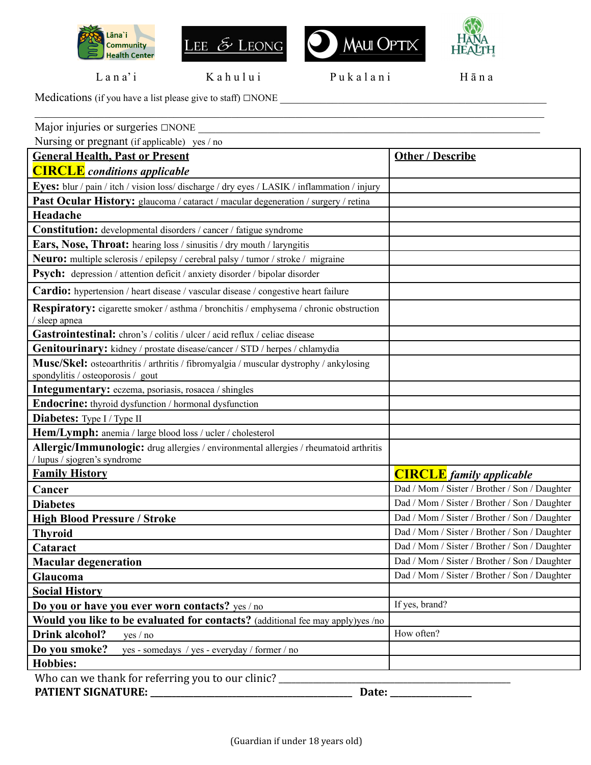







Lana'i Kahului Pukalani Hāna

 $\mathcal{L}_\mathcal{L} = \mathcal{L}_\mathcal{L} = \mathcal{L}_\mathcal{L} = \mathcal{L}_\mathcal{L} = \mathcal{L}_\mathcal{L} = \mathcal{L}_\mathcal{L} = \mathcal{L}_\mathcal{L} = \mathcal{L}_\mathcal{L} = \mathcal{L}_\mathcal{L} = \mathcal{L}_\mathcal{L} = \mathcal{L}_\mathcal{L} = \mathcal{L}_\mathcal{L} = \mathcal{L}_\mathcal{L} = \mathcal{L}_\mathcal{L} = \mathcal{L}_\mathcal{L} = \mathcal{L}_\mathcal{L} = \mathcal{L}_\mathcal{L}$ 

Medications (if you have a list please give to staff) □NONE \_\_\_\_\_\_\_\_\_\_\_\_\_\_\_\_\_\_\_\_\_\_\_\_\_\_\_\_\_\_\_\_\_\_\_\_\_\_\_\_\_\_\_\_\_\_

| Major injuries or surgeries $\square$ NONE                                                                                  |                                                                                  |  |  |
|-----------------------------------------------------------------------------------------------------------------------------|----------------------------------------------------------------------------------|--|--|
| Nursing or pregnant (if applicable) yes / no                                                                                |                                                                                  |  |  |
| <b>General Health, Past or Present</b>                                                                                      | <b>Other / Describe</b>                                                          |  |  |
| <b>CIRCLE</b> conditions applicable                                                                                         |                                                                                  |  |  |
| Eyes: blur / pain / itch / vision loss/ discharge / dry eyes / LASIK / inflammation / injury                                |                                                                                  |  |  |
| Past Ocular History: glaucoma / cataract / macular degeneration / surgery / retina                                          |                                                                                  |  |  |
| Headache                                                                                                                    |                                                                                  |  |  |
| Constitution: developmental disorders / cancer / fatigue syndrome                                                           |                                                                                  |  |  |
| <b>Ears, Nose, Throat:</b> hearing loss / sinusitis / dry mouth / laryngitis                                                |                                                                                  |  |  |
| <b>Neuro:</b> multiple sclerosis / epilepsy / cerebral palsy / tumor / stroke / migraine                                    |                                                                                  |  |  |
| Psych: depression / attention deficit / anxiety disorder / bipolar disorder                                                 |                                                                                  |  |  |
| <b>Cardio:</b> hypertension / heart disease / vascular disease / congestive heart failure                                   |                                                                                  |  |  |
| <b>Respiratory:</b> cigarette smoker / asthma / bronchitis / emphysema / chronic obstruction<br>/ sleep apnea               |                                                                                  |  |  |
| Gastrointestinal: chron's / colitis / ulcer / acid reflux / celiac disease                                                  |                                                                                  |  |  |
| <b>Genitourinary:</b> kidney / prostate disease/cancer / STD / herpes / chlamydia                                           |                                                                                  |  |  |
| Musc/Skel: osteoarthritis / arthritis / fibromyalgia / muscular dystrophy / ankylosing<br>spondylitis / osteoporosis / gout |                                                                                  |  |  |
| <b>Integumentary:</b> eczema, psoriasis, rosacea / shingles                                                                 |                                                                                  |  |  |
| Endocrine: thyroid dysfunction / hormonal dysfunction                                                                       |                                                                                  |  |  |
| <b>Diabetes:</b> Type I / Type II                                                                                           |                                                                                  |  |  |
| Hem/Lymph: anemia / large blood loss / ucler / cholesterol                                                                  |                                                                                  |  |  |
| Allergic/Immunologic: drug allergies / environmental allergies / rheumatoid arthritis<br>/ lupus / sjogren's syndrome       |                                                                                  |  |  |
| <b>Family History</b>                                                                                                       |                                                                                  |  |  |
|                                                                                                                             | <b>CIRCLE</b> family applicable<br>Dad / Mom / Sister / Brother / Son / Daughter |  |  |
| Cancer                                                                                                                      | Dad / Mom / Sister / Brother / Son / Daughter                                    |  |  |
| <b>Diabetes</b>                                                                                                             |                                                                                  |  |  |
| <b>High Blood Pressure / Stroke</b>                                                                                         | Dad / Mom / Sister / Brother / Son / Daughter                                    |  |  |
| <b>Thyroid</b>                                                                                                              | Dad / Mom / Sister / Brother / Son / Daughter                                    |  |  |
| Cataract                                                                                                                    | Dad / Mom / Sister / Brother / Son / Daughter                                    |  |  |
| <b>Macular degeneration</b>                                                                                                 | Dad / Mom / Sister / Brother / Son / Daughter                                    |  |  |
| Glaucoma                                                                                                                    | Dad / Mom / Sister / Brother / Son / Daughter                                    |  |  |
| <b>Social History</b>                                                                                                       |                                                                                  |  |  |
| Do you or have you ever worn contacts? yes / no                                                                             | If yes, brand?                                                                   |  |  |
| Would you like to be evaluated for contacts? (additional fee may apply)yes /no                                              |                                                                                  |  |  |
| Drink alcohol?<br>yes / no                                                                                                  | How often?                                                                       |  |  |
| Do you smoke?<br>yes - somedays / yes - everyday / former / no                                                              |                                                                                  |  |  |
| <b>Hobbies:</b>                                                                                                             |                                                                                  |  |  |
| Who can we thank for referring you to our clinic?                                                                           |                                                                                  |  |  |
| <b>PATIENT SIGNATURE:</b><br>Date:                                                                                          |                                                                                  |  |  |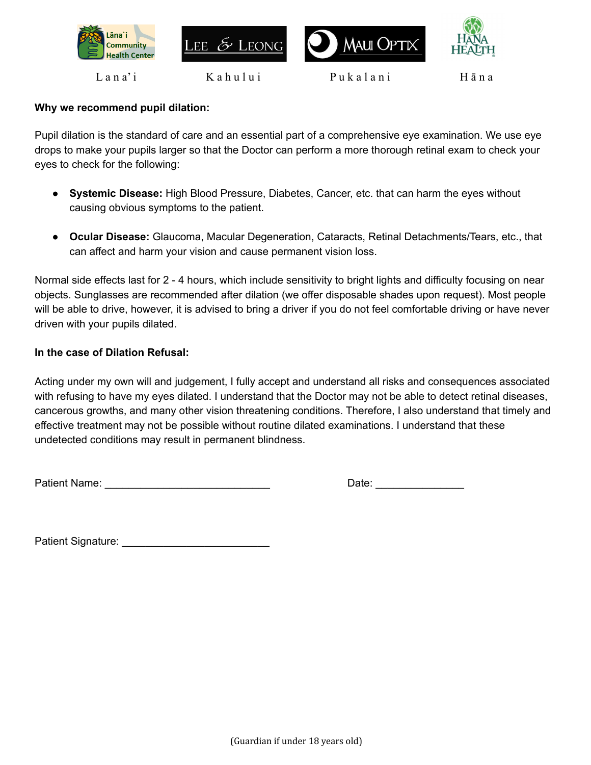







Lana'i Kahului Pukalani Hāna

### **Why we recommend pupil dilation:**

Pupil dilation is the standard of care and an essential part of a comprehensive eye examination. We use eye drops to make your pupils larger so that the Doctor can perform a more thorough retinal exam to check your eyes to check for the following:

- **Systemic Disease:** High Blood Pressure, Diabetes, Cancer, etc. that can harm the eyes without causing obvious symptoms to the patient.
- **Ocular Disease:** Glaucoma, Macular Degeneration, Cataracts, Retinal Detachments/Tears, etc., that can affect and harm your vision and cause permanent vision loss.

Normal side effects last for 2 - 4 hours, which include sensitivity to bright lights and difficulty focusing on near objects. Sunglasses are recommended after dilation (we offer disposable shades upon request). Most people will be able to drive, however, it is advised to bring a driver if you do not feel comfortable driving or have never driven with your pupils dilated.

### **In the case of Dilation Refusal:**

Acting under my own will and judgement, I fully accept and understand all risks and consequences associated with refusing to have my eyes dilated. I understand that the Doctor may not be able to detect retinal diseases, cancerous growths, and many other vision threatening conditions. Therefore, I also understand that timely and effective treatment may not be possible without routine dilated examinations. I understand that these undetected conditions may result in permanent blindness.

Patient Name: \_\_\_\_\_\_\_\_\_\_\_\_\_\_\_\_\_\_\_\_\_\_\_\_\_\_\_\_ Date: \_\_\_\_\_\_\_\_\_\_\_\_\_\_\_

Patient Signature: \_\_\_\_\_\_\_\_\_\_\_\_\_\_\_\_\_\_\_\_\_\_\_\_\_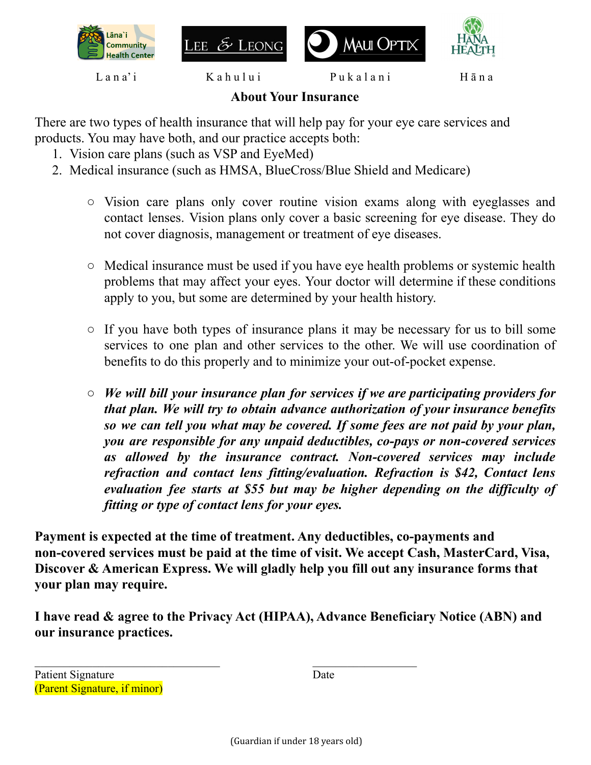







Lana'i Kahului Pukalani Hāna

## **About Your Insurance**

There are two types of health insurance that will help pay for your eye care services and products. You may have both, and our practice accepts both:

- 1. Vision care plans (such as VSP and EyeMed)
- 2. Medical insurance (such as HMSA, BlueCross/Blue Shield and Medicare)
	- Vision care plans only cover routine vision exams along with eyeglasses and contact lenses. Vision plans only cover a basic screening for eye disease. They do not cover diagnosis, management or treatment of eye diseases.
	- Medical insurance must be used if you have eye health problems or systemic health problems that may affect your eyes. Your doctor will determine if these conditions apply to you, but some are determined by your health history.
	- If you have both types of insurance plans it may be necessary for us to bill some services to one plan and other services to the other. We will use coordination of benefits to do this properly and to minimize your out-of-pocket expense.
	- *○ We will bill your insurance plan for services if we are participating providers for that plan. We will try to obtain advance authorization of your insurance benefits so we can tell you what may be covered. If some fees are not paid by your plan, you are responsible for any unpaid deductibles, co-pays or non-covered services as allowed by the insurance contract. Non-covered services may include refraction and contact lens fitting/evaluation. Refraction is \$42, Contact lens evaluation fee starts at \$55 but may be higher depending on the dif iculty of fitting or type of contact lens for your eyes.*

**Payment is expected at the time of treatment. Any deductibles, co-payments and non-covered services must be paid at the time of visit. We accept Cash, MasterCard, Visa, Discover & American Express. We will gladly help you fill out any insurance forms that your plan may require.**

**I have read & agree to the Privacy Act (HIPAA), Advance Beneficiary Notice (ABN) and our insurance practices.**

 $\mathcal{L}_\text{max}$  and the contract of the contract of the contract of the contract of the contract of the contract of the contract of the contract of the contract of the contract of the contract of the contract of the contrac

Patient Signature Date (Parent Signature, if minor)